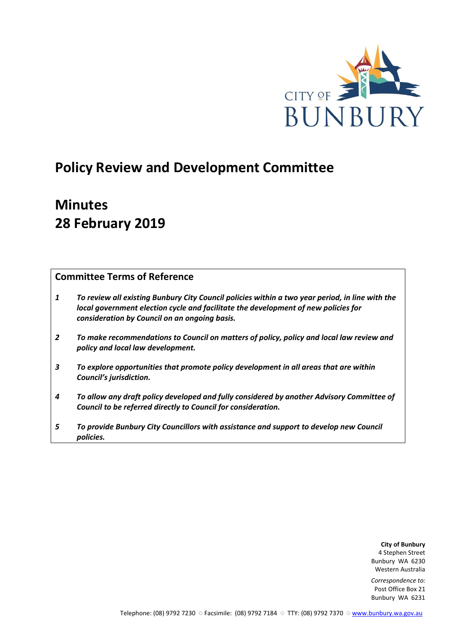

# **Policy Review and Development Committee**

# **Minutes 28 February 2019**

# **Committee Terms of Reference**

- *1 To review all existing Bunbury City Council policies within a two year period, in line with the local government election cycle and facilitate the development of new policies for consideration by Council on an ongoing basis.*
- *2 To make recommendations to Council on matters of policy, policy and local law review and policy and local law development.*
- *3 To explore opportunities that promote policy development in all areas that are within Council's jurisdiction.*
- *4 To allow any draft policy developed and fully considered by another Advisory Committee of Council to be referred directly to Council for consideration.*
- *5 To provide Bunbury City Councillors with assistance and support to develop new Council policies.*

**City of Bunbury** 4 Stephen Street Bunbury WA 6230 Western Australia

*Correspondence to:* Post Office Box 21 Bunbury WA 6231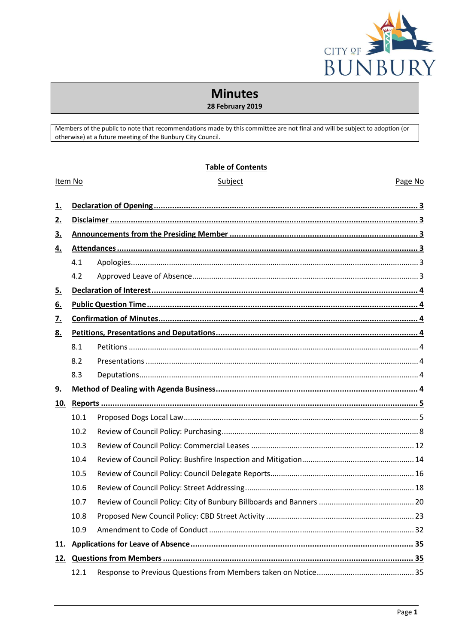

# **Minutes**

# 28 February 2019

Members of the public to note that recommendations made by this committee are not final and will be subject to adoption (or otherwise) at a future meeting of the Bunbury City Council.

## **Table of Contents**

|           | Item No | Subject | Page No |
|-----------|---------|---------|---------|
| <u>1.</u> |         |         |         |
| 2.        |         |         |         |
| 3.        |         |         |         |
| 4.        |         |         |         |
|           | 4.1     |         |         |
|           | 4.2     |         |         |
| 5.        |         |         |         |
| <u>6.</u> |         |         |         |
| <u>7.</u> |         |         |         |
| 8.        |         |         |         |
|           | 8.1     |         |         |
|           | 8.2     |         |         |
|           | 8.3     |         |         |
| <u>9.</u> |         |         |         |
| 10.       |         |         |         |
|           | 10.1    |         |         |
|           | 10.2    |         |         |
|           | 10.3    |         |         |
|           | 10.4    |         |         |
|           | 10.5    |         |         |
|           | 10.6    |         |         |
|           | 10.7    |         |         |
|           | 10.8    |         |         |
|           | 10.9    |         |         |
| 11.       |         |         |         |
| 12.       |         |         |         |
|           | 12.1    |         |         |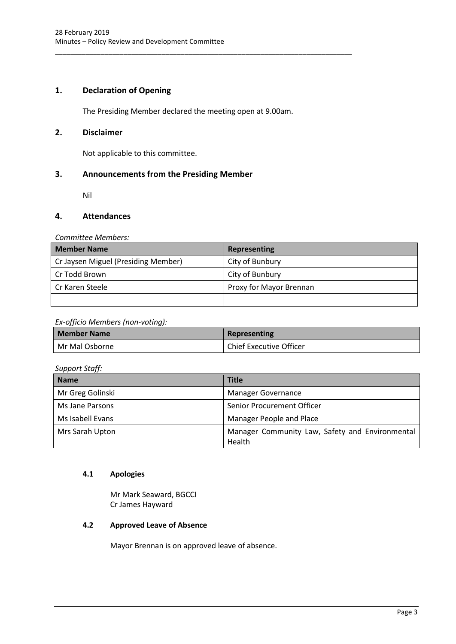# <span id="page-3-0"></span>**1. Declaration of Opening**

The Presiding Member declared the meeting open at 9.00am.

\_\_\_\_\_\_\_\_\_\_\_\_\_\_\_\_\_\_\_\_\_\_\_\_\_\_\_\_\_\_\_\_\_\_\_\_\_\_\_\_\_\_\_\_\_\_\_\_\_\_\_\_\_\_\_\_\_\_\_\_\_\_\_\_\_\_\_\_\_\_\_\_\_\_\_\_\_\_

# <span id="page-3-1"></span>**2. Disclaimer**

Not applicable to this committee.

## <span id="page-3-2"></span>**3. Announcements from the Presiding Member**

Nil

## <span id="page-3-3"></span>**4. Attendances**

*Committee Members:*

| <b>Member Name</b>                  | Representing            |
|-------------------------------------|-------------------------|
| Cr Jaysen Miguel (Presiding Member) | City of Bunbury         |
| Cr Todd Brown                       | City of Bunbury         |
| Cr Karen Steele                     | Proxy for Mayor Brennan |
|                                     |                         |

#### *Ex-officio Members (non-voting):*

| <b>Member Name</b> | Representing                   |
|--------------------|--------------------------------|
| Mr Mal Osborne     | <b>Chief Executive Officer</b> |

## *Support Staff:*

| <b>Name</b>      | <b>Title</b>                                              |
|------------------|-----------------------------------------------------------|
| Mr Greg Golinski | <b>Manager Governance</b>                                 |
| Ms Jane Parsons  | Senior Procurement Officer                                |
| Ms Isabell Evans | Manager People and Place                                  |
| Mrs Sarah Upton  | Manager Community Law, Safety and Environmental<br>Health |

## <span id="page-3-4"></span>**4.1 Apologies**

Mr Mark Seaward, BGCCI Cr James Hayward

# <span id="page-3-5"></span>**4.2 Approved Leave of Absence**

Mayor Brennan is on approved leave of absence.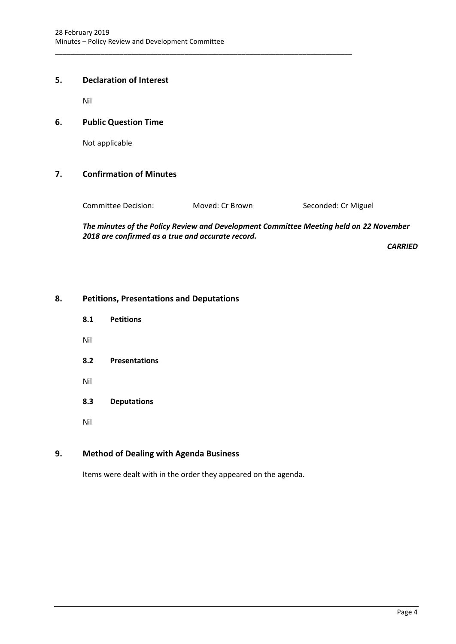# <span id="page-4-0"></span>**5. Declaration of Interest**

Nil

# <span id="page-4-1"></span>**6. Public Question Time**

Not applicable

# <span id="page-4-2"></span>**7. Confirmation of Minutes**

Committee Decision: Moved: Cr Brown Seconded: Cr Miguel

\_\_\_\_\_\_\_\_\_\_\_\_\_\_\_\_\_\_\_\_\_\_\_\_\_\_\_\_\_\_\_\_\_\_\_\_\_\_\_\_\_\_\_\_\_\_\_\_\_\_\_\_\_\_\_\_\_\_\_\_\_\_\_\_\_\_\_\_\_\_\_\_\_\_\_\_\_\_

*The minutes of the Policy Review and Development Committee Meeting held on 22 November 2018 are confirmed as a true and accurate record.*

*CARRIED*

# <span id="page-4-4"></span><span id="page-4-3"></span>**8. Petitions, Presentations and Deputations**

- **8.1 Petitions**
- Nil
- <span id="page-4-5"></span>**8.2 Presentations**
- Nil
- <span id="page-4-6"></span>**8.3 Deputations**
- Nil

# <span id="page-4-7"></span>**9. Method of Dealing with Agenda Business**

Items were dealt with in the order they appeared on the agenda.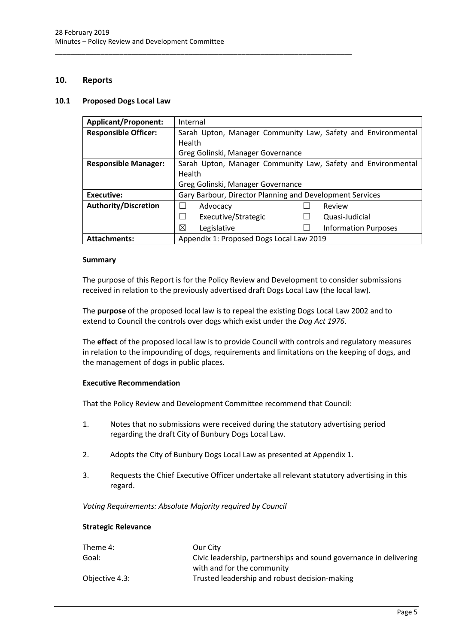\_\_\_\_\_\_\_\_\_\_\_\_\_\_\_\_\_\_\_\_\_\_\_\_\_\_\_\_\_\_\_\_\_\_\_\_\_\_\_\_\_\_\_\_\_\_\_\_\_\_\_\_\_\_\_\_\_\_\_\_\_\_\_\_\_\_\_\_\_\_\_\_\_\_\_\_\_\_

# <span id="page-5-0"></span>**10. Reports**

#### <span id="page-5-1"></span>**10.1 Proposed Dogs Local Law**

| <b>Applicant/Proponent:</b> | Internal                                                     |  |  |
|-----------------------------|--------------------------------------------------------------|--|--|
| <b>Responsible Officer:</b> | Sarah Upton, Manager Community Law, Safety and Environmental |  |  |
|                             | Health                                                       |  |  |
|                             | Greg Golinski, Manager Governance                            |  |  |
| <b>Responsible Manager:</b> | Sarah Upton, Manager Community Law, Safety and Environmental |  |  |
|                             | Health                                                       |  |  |
|                             | Greg Golinski, Manager Governance                            |  |  |
| Executive:                  | Gary Barbour, Director Planning and Development Services     |  |  |
| <b>Authority/Discretion</b> | Review<br>Advocacy                                           |  |  |
|                             | Executive/Strategic<br>Quasi-Judicial                        |  |  |
|                             | ⊠<br>Legislative<br><b>Information Purposes</b>              |  |  |
| <b>Attachments:</b>         | Appendix 1: Proposed Dogs Local Law 2019                     |  |  |

#### **Summary**

The purpose of this Report is for the Policy Review and Development to consider submissions received in relation to the previously advertised draft Dogs Local Law (the local law).

The **purpose** of the proposed local law is to repeal the existing Dogs Local Law 2002 and to extend to Council the controls over dogs which exist under the *Dog Act 1976*.

The **effect** of the proposed local law is to provide Council with controls and regulatory measures in relation to the impounding of dogs, requirements and limitations on the keeping of dogs, and the management of dogs in public places.

#### **Executive Recommendation**

That the Policy Review and Development Committee recommend that Council:

- 1. Notes that no submissions were received during the statutory advertising period regarding the draft City of Bunbury Dogs Local Law.
- 2. Adopts the City of Bunbury Dogs Local Law as presented at Appendix 1.
- 3. Requests the Chief Executive Officer undertake all relevant statutory advertising in this regard.

*Voting Requirements: Absolute Majority required by Council*

#### **Strategic Relevance**

| Theme 4:       | Our City                                                          |
|----------------|-------------------------------------------------------------------|
| Goal:          | Civic leadership, partnerships and sound governance in delivering |
|                | with and for the community                                        |
| Objective 4.3: | Trusted leadership and robust decision-making                     |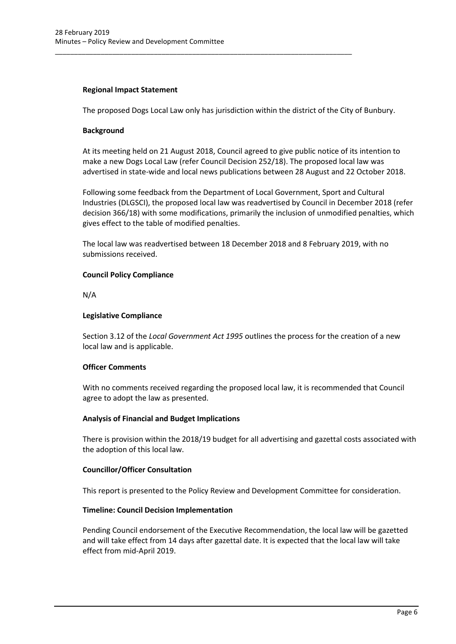## **Regional Impact Statement**

The proposed Dogs Local Law only has jurisdiction within the district of the City of Bunbury.

\_\_\_\_\_\_\_\_\_\_\_\_\_\_\_\_\_\_\_\_\_\_\_\_\_\_\_\_\_\_\_\_\_\_\_\_\_\_\_\_\_\_\_\_\_\_\_\_\_\_\_\_\_\_\_\_\_\_\_\_\_\_\_\_\_\_\_\_\_\_\_\_\_\_\_\_\_\_

## **Background**

At its meeting held on 21 August 2018, Council agreed to give public notice of its intention to make a new Dogs Local Law (refer Council Decision 252/18). The proposed local law was advertised in state-wide and local news publications between 28 August and 22 October 2018.

Following some feedback from the Department of Local Government, Sport and Cultural Industries (DLGSCI), the proposed local law was readvertised by Council in December 2018 (refer decision 366/18) with some modifications, primarily the inclusion of unmodified penalties, which gives effect to the table of modified penalties.

The local law was readvertised between 18 December 2018 and 8 February 2019, with no submissions received.

## **Council Policy Compliance**

N/A

## **Legislative Compliance**

Section 3.12 of the *Local Government Act 1995* outlines the process for the creation of a new local law and is applicable.

## **Officer Comments**

With no comments received regarding the proposed local law, it is recommended that Council agree to adopt the law as presented.

## **Analysis of Financial and Budget Implications**

There is provision within the 2018/19 budget for all advertising and gazettal costs associated with the adoption of this local law.

## **Councillor/Officer Consultation**

This report is presented to the Policy Review and Development Committee for consideration.

#### **Timeline: Council Decision Implementation**

Pending Council endorsement of the Executive Recommendation, the local law will be gazetted and will take effect from 14 days after gazettal date. It is expected that the local law will take effect from mid-April 2019.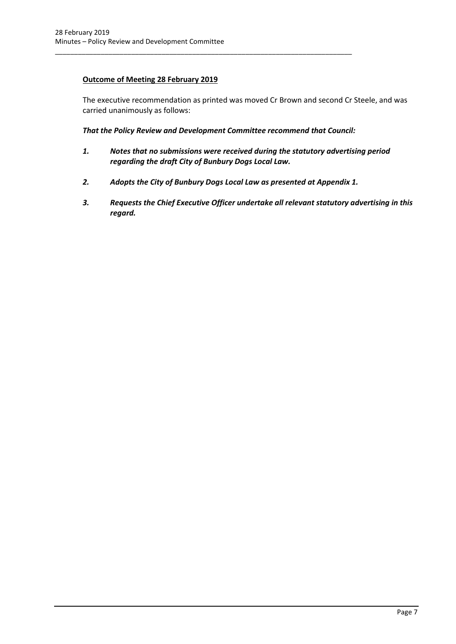# **Outcome of Meeting 28 February 2019**

The executive recommendation as printed was moved Cr Brown and second Cr Steele, and was carried unanimously as follows:

*That the Policy Review and Development Committee recommend that Council:*

\_\_\_\_\_\_\_\_\_\_\_\_\_\_\_\_\_\_\_\_\_\_\_\_\_\_\_\_\_\_\_\_\_\_\_\_\_\_\_\_\_\_\_\_\_\_\_\_\_\_\_\_\_\_\_\_\_\_\_\_\_\_\_\_\_\_\_\_\_\_\_\_\_\_\_\_\_\_

- *1. Notes that no submissions were received during the statutory advertising period regarding the draft City of Bunbury Dogs Local Law.*
- *2. Adopts the City of Bunbury Dogs Local Law as presented at Appendix 1.*
- <span id="page-7-0"></span>*3. Requests the Chief Executive Officer undertake all relevant statutory advertising in this regard.*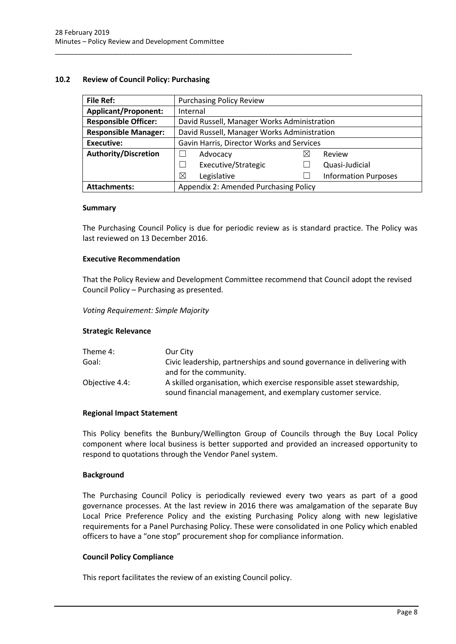\_\_\_\_\_\_\_\_\_\_\_\_\_\_\_\_\_\_\_\_\_\_\_\_\_\_\_\_\_\_\_\_\_\_\_\_\_\_\_\_\_\_\_\_\_\_\_\_\_\_\_\_\_\_\_\_\_\_\_\_\_\_\_\_\_\_\_\_\_\_\_\_\_\_\_\_\_\_

## **10.2 Review of Council Policy: Purchasing**

| <b>File Ref:</b>            | <b>Purchasing Policy Review</b>             |   |                             |
|-----------------------------|---------------------------------------------|---|-----------------------------|
| <b>Applicant/Proponent:</b> | Internal                                    |   |                             |
| <b>Responsible Officer:</b> | David Russell, Manager Works Administration |   |                             |
| <b>Responsible Manager:</b> | David Russell, Manager Works Administration |   |                             |
| <b>Executive:</b>           | Gavin Harris, Director Works and Services   |   |                             |
| <b>Authority/Discretion</b> | Advocacy                                    | ⋈ | Review                      |
|                             | Executive/Strategic                         |   | Quasi-Judicial              |
|                             | ⊠<br>Legislative                            |   | <b>Information Purposes</b> |
| <b>Attachments:</b>         | Appendix 2: Amended Purchasing Policy       |   |                             |

#### **Summary**

The Purchasing Council Policy is due for periodic review as is standard practice. The Policy was last reviewed on 13 December 2016.

#### **Executive Recommendation**

That the Policy Review and Development Committee recommend that Council adopt the revised Council Policy – Purchasing as presented.

*Voting Requirement: Simple Majority* 

#### **Strategic Relevance**

| Theme 4:       | Our City                                                                                                                             |
|----------------|--------------------------------------------------------------------------------------------------------------------------------------|
| Goal:          | Civic leadership, partnerships and sound governance in delivering with                                                               |
|                | and for the community.                                                                                                               |
| Objective 4.4: | A skilled organisation, which exercise responsible asset stewardship,<br>sound financial management, and exemplary customer service. |

#### **Regional Impact Statement**

This Policy benefits the Bunbury/Wellington Group of Councils through the Buy Local Policy component where local business is better supported and provided an increased opportunity to respond to quotations through the Vendor Panel system.

#### **Background**

The Purchasing Council Policy is periodically reviewed every two years as part of a good governance processes. At the last review in 2016 there was amalgamation of the separate Buy Local Price Preference Policy and the existing Purchasing Policy along with new legislative requirements for a Panel Purchasing Policy. These were consolidated in one Policy which enabled officers to have a "one stop" procurement shop for compliance information.

#### **Council Policy Compliance**

This report facilitates the review of an existing Council policy.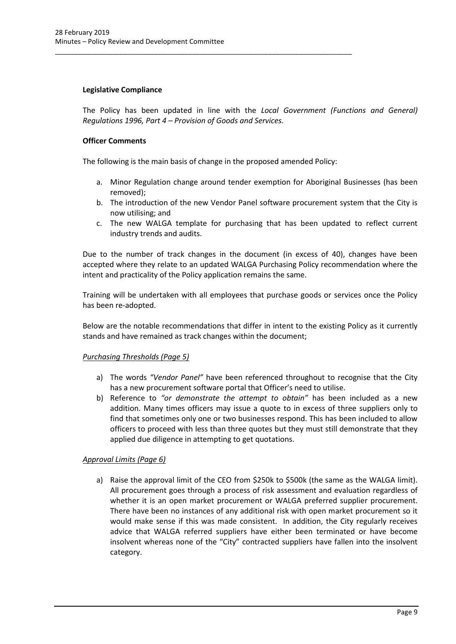## **Legislative Compliance**

The Policy has been updated in line with the *Local Government (Functions and General) Regulations 1996, Part 4 – Provision of Goods and Services.*

## **Officer Comments**

The following is the main basis of change in the proposed amended Policy:

\_\_\_\_\_\_\_\_\_\_\_\_\_\_\_\_\_\_\_\_\_\_\_\_\_\_\_\_\_\_\_\_\_\_\_\_\_\_\_\_\_\_\_\_\_\_\_\_\_\_\_\_\_\_\_\_\_\_\_\_\_\_\_\_\_\_\_\_\_\_\_\_\_\_\_\_\_\_

- a. Minor Regulation change around tender exemption for Aboriginal Businesses (has been removed);
- b. The introduction of the new Vendor Panel software procurement system that the City is now utilising; and
- c. The new WALGA template for purchasing that has been updated to reflect current industry trends and audits.

Due to the number of track changes in the document (in excess of 40), changes have been accepted where they relate to an updated WALGA Purchasing Policy recommendation where the intent and practicality of the Policy application remains the same.

Training will be undertaken with all employees that purchase goods or services once the Policy has been re-adopted.

Below are the notable recommendations that differ in intent to the existing Policy as it currently stands and have remained as track changes within the document;

## *Purchasing Thresholds (Page 5)*

- a) The words *"Vendor Panel"* have been referenced throughout to recognise that the City has a new procurement software portal that Officer's need to utilise.
- b) Reference to *"or demonstrate the attempt to obtain"* has been included as a new addition. Many times officers may issue a quote to in excess of three suppliers only to find that sometimes only one or two businesses respond. This has been included to allow officers to proceed with less than three quotes but they must still demonstrate that they applied due diligence in attempting to get quotations.

## *Approval Limits (Page 6)*

a) Raise the approval limit of the CEO from \$250k to \$500k (the same as the WALGA limit). All procurement goes through a process of risk assessment and evaluation regardless of whether it is an open market procurement or WALGA preferred supplier procurement. There have been no instances of any additional risk with open market procurement so it would make sense if this was made consistent. In addition, the City regularly receives advice that WALGA referred suppliers have either been terminated or have become insolvent whereas none of the "City" contracted suppliers have fallen into the insolvent category.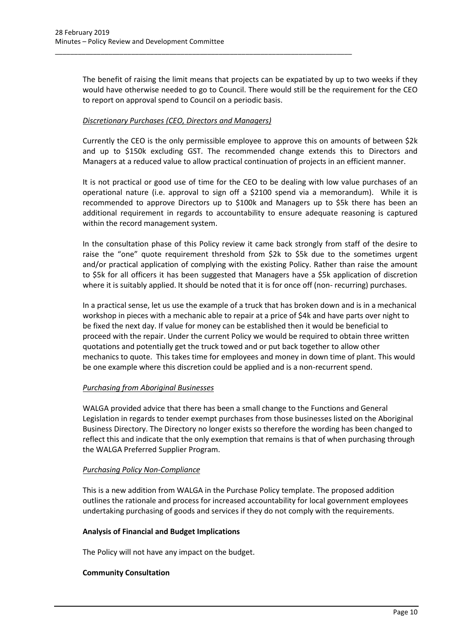The benefit of raising the limit means that projects can be expatiated by up to two weeks if they would have otherwise needed to go to Council. There would still be the requirement for the CEO to report on approval spend to Council on a periodic basis.

## *Discretionary Purchases (CEO, Directors and Managers)*

\_\_\_\_\_\_\_\_\_\_\_\_\_\_\_\_\_\_\_\_\_\_\_\_\_\_\_\_\_\_\_\_\_\_\_\_\_\_\_\_\_\_\_\_\_\_\_\_\_\_\_\_\_\_\_\_\_\_\_\_\_\_\_\_\_\_\_\_\_\_\_\_\_\_\_\_\_\_

Currently the CEO is the only permissible employee to approve this on amounts of between \$2k and up to \$150k excluding GST. The recommended change extends this to Directors and Managers at a reduced value to allow practical continuation of projects in an efficient manner.

It is not practical or good use of time for the CEO to be dealing with low value purchases of an operational nature (i.e. approval to sign off a \$2100 spend via a memorandum). While it is recommended to approve Directors up to \$100k and Managers up to \$5k there has been an additional requirement in regards to accountability to ensure adequate reasoning is captured within the record management system.

In the consultation phase of this Policy review it came back strongly from staff of the desire to raise the "one" quote requirement threshold from \$2k to \$5k due to the sometimes urgent and/or practical application of complying with the existing Policy. Rather than raise the amount to \$5k for all officers it has been suggested that Managers have a \$5k application of discretion where it is suitably applied. It should be noted that it is for once off (non- recurring) purchases.

In a practical sense, let us use the example of a truck that has broken down and is in a mechanical workshop in pieces with a mechanic able to repair at a price of \$4k and have parts over night to be fixed the next day. If value for money can be established then it would be beneficial to proceed with the repair. Under the current Policy we would be required to obtain three written quotations and potentially get the truck towed and or put back together to allow other mechanics to quote. This takes time for employees and money in down time of plant. This would be one example where this discretion could be applied and is a non-recurrent spend.

## *Purchasing from Aboriginal Businesses*

WALGA provided advice that there has been a small change to the Functions and General Legislation in regards to tender exempt purchases from those businesses listed on the Aboriginal Business Directory. The Directory no longer exists so therefore the wording has been changed to reflect this and indicate that the only exemption that remains is that of when purchasing through the WALGA Preferred Supplier Program.

## *Purchasing Policy Non-Compliance*

This is a new addition from WALGA in the Purchase Policy template. The proposed addition outlines the rationale and process for increased accountability for local government employees undertaking purchasing of goods and services if they do not comply with the requirements.

#### **Analysis of Financial and Budget Implications**

The Policy will not have any impact on the budget.

## **Community Consultation**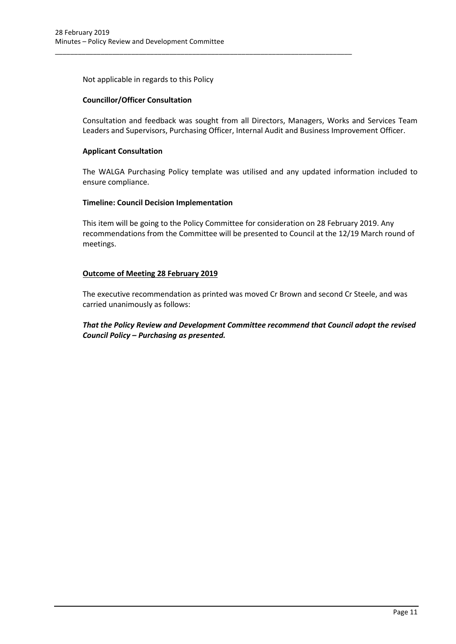Not applicable in regards to this Policy

\_\_\_\_\_\_\_\_\_\_\_\_\_\_\_\_\_\_\_\_\_\_\_\_\_\_\_\_\_\_\_\_\_\_\_\_\_\_\_\_\_\_\_\_\_\_\_\_\_\_\_\_\_\_\_\_\_\_\_\_\_\_\_\_\_\_\_\_\_\_\_\_\_\_\_\_\_\_

## **Councillor/Officer Consultation**

Consultation and feedback was sought from all Directors, Managers, Works and Services Team Leaders and Supervisors, Purchasing Officer, Internal Audit and Business Improvement Officer.

## **Applicant Consultation**

The WALGA Purchasing Policy template was utilised and any updated information included to ensure compliance.

## **Timeline: Council Decision Implementation**

This item will be going to the Policy Committee for consideration on 28 February 2019. Any recommendations from the Committee will be presented to Council at the 12/19 March round of meetings.

## **Outcome of Meeting 28 February 2019**

The executive recommendation as printed was moved Cr Brown and second Cr Steele, and was carried unanimously as follows:

# *That the Policy Review and Development Committee recommend that Council adopt the revised Council Policy – Purchasing as presented.*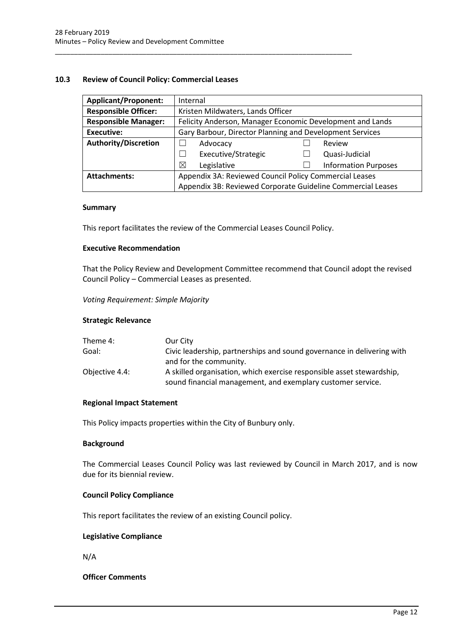## <span id="page-12-0"></span>**10.3 Review of Council Policy: Commercial Leases**

| <b>Applicant/Proponent:</b> | Internal                                                  |                                                             |  |
|-----------------------------|-----------------------------------------------------------|-------------------------------------------------------------|--|
| <b>Responsible Officer:</b> | Kristen Mildwaters, Lands Officer                         |                                                             |  |
| <b>Responsible Manager:</b> | Felicity Anderson, Manager Economic Development and Lands |                                                             |  |
| Executive:                  | Gary Barbour, Director Planning and Development Services  |                                                             |  |
| <b>Authority/Discretion</b> | Advocacy                                                  | Review                                                      |  |
|                             | Executive/Strategic                                       | Quasi-Judicial                                              |  |
|                             | ⊠<br>Legislative                                          | <b>Information Purposes</b>                                 |  |
| <b>Attachments:</b>         | Appendix 3A: Reviewed Council Policy Commercial Leases    |                                                             |  |
|                             |                                                           | Appendix 3B: Reviewed Corporate Guideline Commercial Leases |  |

#### **Summary**

This report facilitates the review of the Commercial Leases Council Policy.

\_\_\_\_\_\_\_\_\_\_\_\_\_\_\_\_\_\_\_\_\_\_\_\_\_\_\_\_\_\_\_\_\_\_\_\_\_\_\_\_\_\_\_\_\_\_\_\_\_\_\_\_\_\_\_\_\_\_\_\_\_\_\_\_\_\_\_\_\_\_\_\_\_\_\_\_\_\_

#### **Executive Recommendation**

That the Policy Review and Development Committee recommend that Council adopt the revised Council Policy – Commercial Leases as presented.

*Voting Requirement: Simple Majority* 

#### **Strategic Relevance**

| Theme 4:       | Our City                                                                                                                             |
|----------------|--------------------------------------------------------------------------------------------------------------------------------------|
| Goal:          | Civic leadership, partnerships and sound governance in delivering with                                                               |
|                | and for the community.                                                                                                               |
| Objective 4.4: | A skilled organisation, which exercise responsible asset stewardship,<br>sound financial management, and exemplary customer service. |

#### **Regional Impact Statement**

This Policy impacts properties within the City of Bunbury only.

#### **Background**

The Commercial Leases Council Policy was last reviewed by Council in March 2017, and is now due for its biennial review.

## **Council Policy Compliance**

This report facilitates the review of an existing Council policy.

#### **Legislative Compliance**

N/A

**Officer Comments**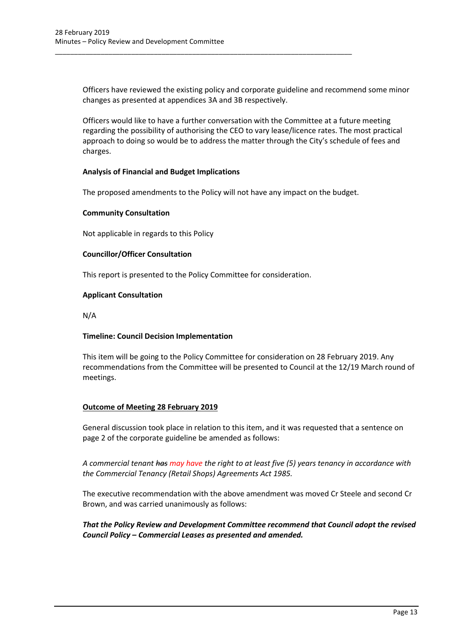Officers have reviewed the existing policy and corporate guideline and recommend some minor changes as presented at appendices 3A and 3B respectively.

Officers would like to have a further conversation with the Committee at a future meeting regarding the possibility of authorising the CEO to vary lease/licence rates. The most practical approach to doing so would be to address the matter through the City's schedule of fees and charges.

## **Analysis of Financial and Budget Implications**

The proposed amendments to the Policy will not have any impact on the budget.

\_\_\_\_\_\_\_\_\_\_\_\_\_\_\_\_\_\_\_\_\_\_\_\_\_\_\_\_\_\_\_\_\_\_\_\_\_\_\_\_\_\_\_\_\_\_\_\_\_\_\_\_\_\_\_\_\_\_\_\_\_\_\_\_\_\_\_\_\_\_\_\_\_\_\_\_\_\_

## **Community Consultation**

Not applicable in regards to this Policy

## **Councillor/Officer Consultation**

This report is presented to the Policy Committee for consideration.

#### **Applicant Consultation**

N/A

#### **Timeline: Council Decision Implementation**

This item will be going to the Policy Committee for consideration on 28 February 2019. Any recommendations from the Committee will be presented to Council at the 12/19 March round of meetings.

## **Outcome of Meeting 28 February 2019**

General discussion took place in relation to this item, and it was requested that a sentence on page 2 of the corporate guideline be amended as follows:

*A commercial tenant has may have the right to at least five (5) years tenancy in accordance with the Commercial Tenancy (Retail Shops) Agreements Act 1985.*

The executive recommendation with the above amendment was moved Cr Steele and second Cr Brown, and was carried unanimously as follows:

## <span id="page-13-0"></span>*That the Policy Review and Development Committee recommend that Council adopt the revised Council Policy – Commercial Leases as presented and amended.*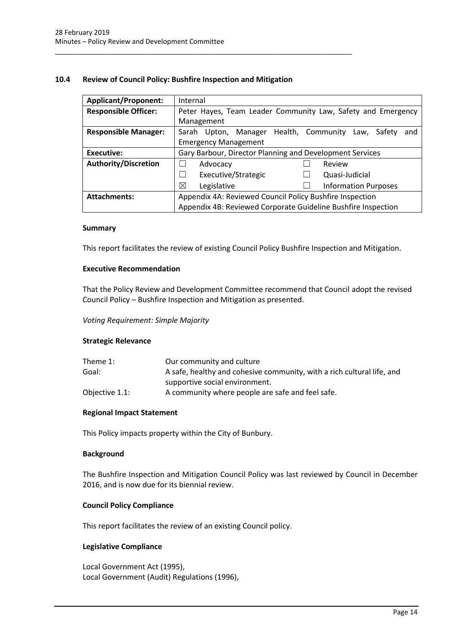## **10.4 Review of Council Policy: Bushfire Inspection and Mitigation**

\_\_\_\_\_\_\_\_\_\_\_\_\_\_\_\_\_\_\_\_\_\_\_\_\_\_\_\_\_\_\_\_\_\_\_\_\_\_\_\_\_\_\_\_\_\_\_\_\_\_\_\_\_\_\_\_\_\_\_\_\_\_\_\_\_\_\_\_\_\_\_\_\_\_\_\_\_\_

| <b>Applicant/Proponent:</b> | Internal                                                              |  |
|-----------------------------|-----------------------------------------------------------------------|--|
| <b>Responsible Officer:</b> | Peter Hayes, Team Leader Community Law, Safety and Emergency          |  |
|                             | Management                                                            |  |
| <b>Responsible Manager:</b> | Health, Community<br>Sarah Upton,<br>Manager<br>Safety<br>Law,<br>and |  |
|                             | <b>Emergency Management</b>                                           |  |
| <b>Executive:</b>           | Gary Barbour, Director Planning and Development Services              |  |
| <b>Authority/Discretion</b> | Advocacy<br>Review                                                    |  |
|                             | Executive/Strategic<br>Quasi-Judicial<br>$\perp$                      |  |
|                             | ⊠<br>Legislative<br><b>Information Purposes</b>                       |  |
| <b>Attachments:</b>         | Appendix 4A: Reviewed Council Policy Bushfire Inspection              |  |
|                             | Appendix 4B: Reviewed Corporate Guideline Bushfire Inspection         |  |

#### **Summary**

This report facilitates the review of existing Council Policy Bushfire Inspection and Mitigation.

#### **Executive Recommendation**

That the Policy Review and Development Committee recommend that Council adopt the revised Council Policy – Bushfire Inspection and Mitigation as presented.

*Voting Requirement: Simple Majority* 

#### **Strategic Relevance**

| Theme 1:       | Our community and culture                                              |
|----------------|------------------------------------------------------------------------|
| Goal:          | A safe, healthy and cohesive community, with a rich cultural life, and |
|                | supportive social environment.                                         |
| Objective 1.1: | A community where people are safe and feel safe.                       |

#### **Regional Impact Statement**

This Policy impacts property within the City of Bunbury.

#### **Background**

The Bushfire Inspection and Mitigation Council Policy was last reviewed by Council in December 2016, and is now due for its biennial review.

#### **Council Policy Compliance**

This report facilitates the review of an existing Council policy.

#### **Legislative Compliance**

Local Government Act (1995), Local Government (Audit) Regulations (1996),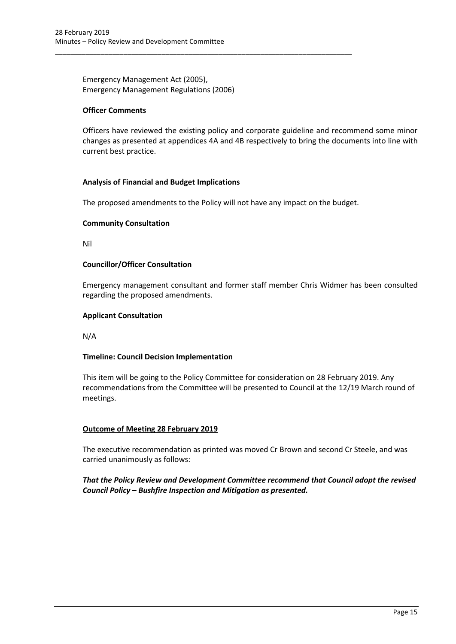Emergency Management Act (2005), Emergency Management Regulations (2006)

#### **Officer Comments**

Officers have reviewed the existing policy and corporate guideline and recommend some minor changes as presented at appendices 4A and 4B respectively to bring the documents into line with current best practice.

## **Analysis of Financial and Budget Implications**

The proposed amendments to the Policy will not have any impact on the budget.

\_\_\_\_\_\_\_\_\_\_\_\_\_\_\_\_\_\_\_\_\_\_\_\_\_\_\_\_\_\_\_\_\_\_\_\_\_\_\_\_\_\_\_\_\_\_\_\_\_\_\_\_\_\_\_\_\_\_\_\_\_\_\_\_\_\_\_\_\_\_\_\_\_\_\_\_\_\_

## **Community Consultation**

Nil

## **Councillor/Officer Consultation**

Emergency management consultant and former staff member Chris Widmer has been consulted regarding the proposed amendments.

## **Applicant Consultation**

N/A

## **Timeline: Council Decision Implementation**

This item will be going to the Policy Committee for consideration on 28 February 2019. Any recommendations from the Committee will be presented to Council at the 12/19 March round of meetings.

#### **Outcome of Meeting 28 February 2019**

The executive recommendation as printed was moved Cr Brown and second Cr Steele, and was carried unanimously as follows:

*That the Policy Review and Development Committee recommend that Council adopt the revised Council Policy – Bushfire Inspection and Mitigation as presented.*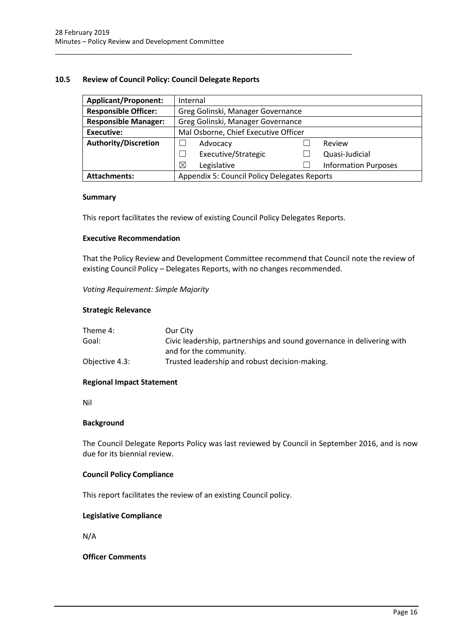## <span id="page-16-0"></span>**10.5 Review of Council Policy: Council Delegate Reports**

| <b>Applicant/Proponent:</b> | Internal                                     |  |                             |
|-----------------------------|----------------------------------------------|--|-----------------------------|
| <b>Responsible Officer:</b> | Greg Golinski, Manager Governance            |  |                             |
| <b>Responsible Manager:</b> | Greg Golinski, Manager Governance            |  |                             |
| Executive:                  | Mal Osborne, Chief Executive Officer         |  |                             |
| <b>Authority/Discretion</b> | Advocacy<br>Review                           |  |                             |
|                             | Executive/Strategic                          |  | Quasi-Judicial              |
|                             | Legislative<br>⊠                             |  | <b>Information Purposes</b> |
| <b>Attachments:</b>         | Appendix 5: Council Policy Delegates Reports |  |                             |

#### **Summary**

This report facilitates the review of existing Council Policy Delegates Reports.

\_\_\_\_\_\_\_\_\_\_\_\_\_\_\_\_\_\_\_\_\_\_\_\_\_\_\_\_\_\_\_\_\_\_\_\_\_\_\_\_\_\_\_\_\_\_\_\_\_\_\_\_\_\_\_\_\_\_\_\_\_\_\_\_\_\_\_\_\_\_\_\_\_\_\_\_\_\_

#### **Executive Recommendation**

That the Policy Review and Development Committee recommend that Council note the review of existing Council Policy – Delegates Reports, with no changes recommended.

*Voting Requirement: Simple Majority* 

#### **Strategic Relevance**

| Theme 4:       | Our City                                                               |
|----------------|------------------------------------------------------------------------|
| Goal:          | Civic leadership, partnerships and sound governance in delivering with |
|                | and for the community.                                                 |
| Objective 4.3: | Trusted leadership and robust decision-making.                         |

#### **Regional Impact Statement**

Nil

#### **Background**

The Council Delegate Reports Policy was last reviewed by Council in September 2016, and is now due for its biennial review.

#### **Council Policy Compliance**

This report facilitates the review of an existing Council policy.

#### **Legislative Compliance**

N/A

## **Officer Comments**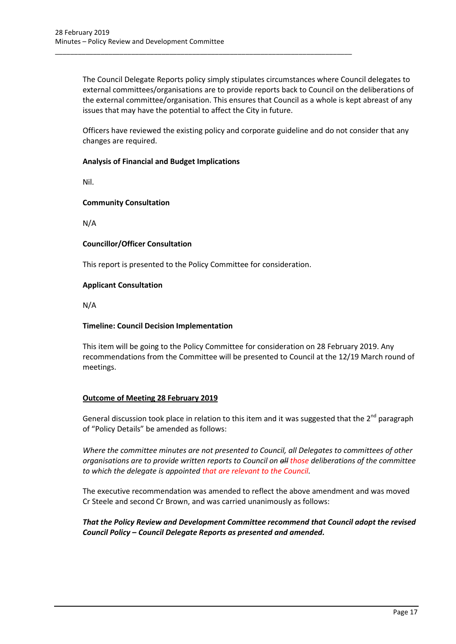The Council Delegate Reports policy simply stipulates circumstances where Council delegates to external committees/organisations are to provide reports back to Council on the deliberations of the external committee/organisation. This ensures that Council as a whole is kept abreast of any issues that may have the potential to affect the City in future.

Officers have reviewed the existing policy and corporate guideline and do not consider that any changes are required.

## **Analysis of Financial and Budget Implications**

Nil.

## **Community Consultation**

N/A

## **Councillor/Officer Consultation**

This report is presented to the Policy Committee for consideration.

\_\_\_\_\_\_\_\_\_\_\_\_\_\_\_\_\_\_\_\_\_\_\_\_\_\_\_\_\_\_\_\_\_\_\_\_\_\_\_\_\_\_\_\_\_\_\_\_\_\_\_\_\_\_\_\_\_\_\_\_\_\_\_\_\_\_\_\_\_\_\_\_\_\_\_\_\_\_

## **Applicant Consultation**

N/A

## **Timeline: Council Decision Implementation**

This item will be going to the Policy Committee for consideration on 28 February 2019. Any recommendations from the Committee will be presented to Council at the 12/19 March round of meetings.

## **Outcome of Meeting 28 February 2019**

General discussion took place in relation to this item and it was suggested that the  $2^{nd}$  paragraph of "Policy Details" be amended as follows:

*Where the committee minutes are not presented to Council, all Delegates to committees of other organisations are to provide written reports to Council on all those deliberations of the committee to which the delegate is appointed that are relevant to the Council.*

The executive recommendation was amended to reflect the above amendment and was moved Cr Steele and second Cr Brown, and was carried unanimously as follows:

## *That the Policy Review and Development Committee recommend that Council adopt the revised Council Policy – Council Delegate Reports as presented and amended.*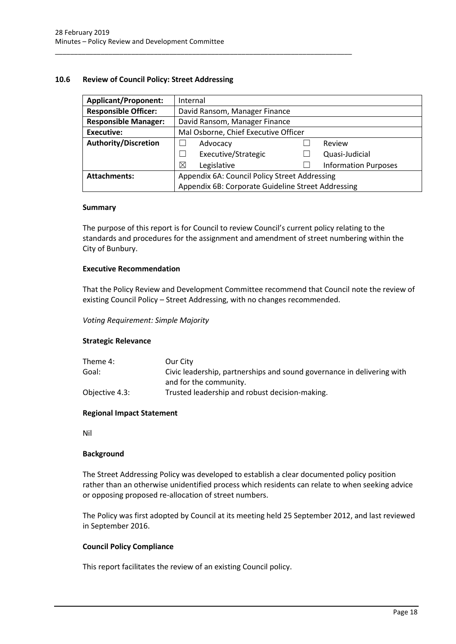## <span id="page-18-0"></span>**10.6 Review of Council Policy: Street Addressing**

\_\_\_\_\_\_\_\_\_\_\_\_\_\_\_\_\_\_\_\_\_\_\_\_\_\_\_\_\_\_\_\_\_\_\_\_\_\_\_\_\_\_\_\_\_\_\_\_\_\_\_\_\_\_\_\_\_\_\_\_\_\_\_\_\_\_\_\_\_\_\_\_\_\_\_\_\_\_

| <b>Applicant/Proponent:</b> |                                                    | Internal                             |  |                             |
|-----------------------------|----------------------------------------------------|--------------------------------------|--|-----------------------------|
| <b>Responsible Officer:</b> |                                                    | David Ransom, Manager Finance        |  |                             |
| <b>Responsible Manager:</b> |                                                    | David Ransom, Manager Finance        |  |                             |
| <b>Executive:</b>           |                                                    | Mal Osborne, Chief Executive Officer |  |                             |
| <b>Authority/Discretion</b> |                                                    | Advocacy                             |  | Review                      |
|                             |                                                    | Executive/Strategic                  |  | Quasi-Judicial              |
|                             | ⊠                                                  | Legislative                          |  | <b>Information Purposes</b> |
| <b>Attachments:</b>         | Appendix 6A: Council Policy Street Addressing      |                                      |  |                             |
|                             | Appendix 6B: Corporate Guideline Street Addressing |                                      |  |                             |

#### **Summary**

The purpose of this report is for Council to review Council's current policy relating to the standards and procedures for the assignment and amendment of street numbering within the City of Bunbury.

#### **Executive Recommendation**

That the Policy Review and Development Committee recommend that Council note the review of existing Council Policy – Street Addressing, with no changes recommended.

#### *Voting Requirement: Simple Majority*

#### **Strategic Relevance**

| Theme 4:       | Our City                                                               |
|----------------|------------------------------------------------------------------------|
| Goal:          | Civic leadership, partnerships and sound governance in delivering with |
|                | and for the community.                                                 |
| Objective 4.3: | Trusted leadership and robust decision-making.                         |

#### **Regional Impact Statement**

Nil

#### **Background**

The Street Addressing Policy was developed to establish a clear documented policy position rather than an otherwise unidentified process which residents can relate to when seeking advice or opposing proposed re-allocation of street numbers.

The Policy was first adopted by Council at its meeting held 25 September 2012, and last reviewed in September 2016.

#### **Council Policy Compliance**

This report facilitates the review of an existing Council policy.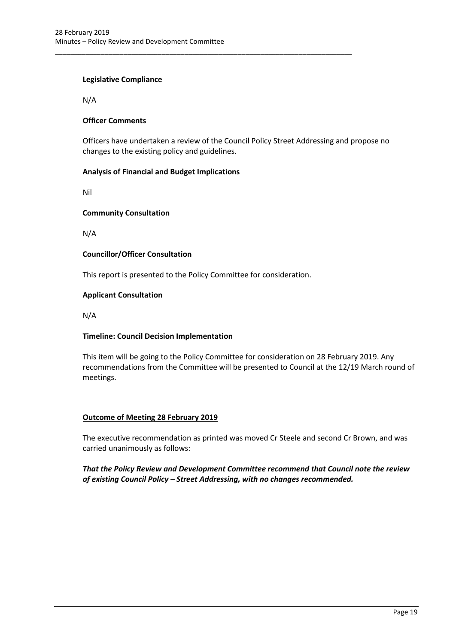## **Legislative Compliance**

N/A

## **Officer Comments**

Officers have undertaken a review of the Council Policy Street Addressing and propose no changes to the existing policy and guidelines.

## **Analysis of Financial and Budget Implications**

Nil

## **Community Consultation**

N/A

## **Councillor/Officer Consultation**

This report is presented to the Policy Committee for consideration.

\_\_\_\_\_\_\_\_\_\_\_\_\_\_\_\_\_\_\_\_\_\_\_\_\_\_\_\_\_\_\_\_\_\_\_\_\_\_\_\_\_\_\_\_\_\_\_\_\_\_\_\_\_\_\_\_\_\_\_\_\_\_\_\_\_\_\_\_\_\_\_\_\_\_\_\_\_\_

#### **Applicant Consultation**

N/A

#### **Timeline: Council Decision Implementation**

This item will be going to the Policy Committee for consideration on 28 February 2019. Any recommendations from the Committee will be presented to Council at the 12/19 March round of meetings.

#### **Outcome of Meeting 28 February 2019**

The executive recommendation as printed was moved Cr Steele and second Cr Brown, and was carried unanimously as follows:

## *That the Policy Review and Development Committee recommend that Council note the review of existing Council Policy – Street Addressing, with no changes recommended.*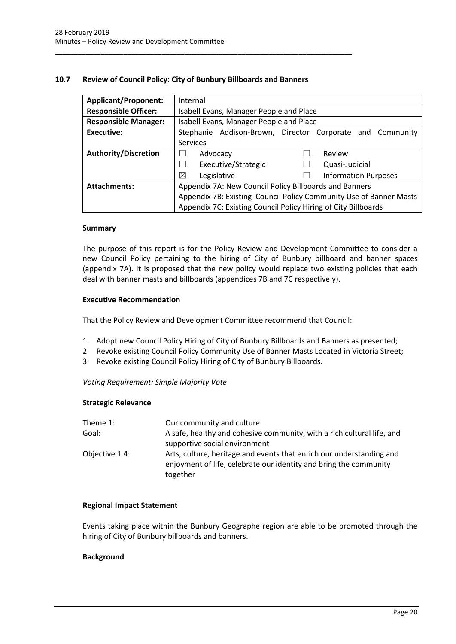## <span id="page-20-0"></span>**10.7 Review of Council Policy: City of Bunbury Billboards and Banners**

\_\_\_\_\_\_\_\_\_\_\_\_\_\_\_\_\_\_\_\_\_\_\_\_\_\_\_\_\_\_\_\_\_\_\_\_\_\_\_\_\_\_\_\_\_\_\_\_\_\_\_\_\_\_\_\_\_\_\_\_\_\_\_\_\_\_\_\_\_\_\_\_\_\_\_\_\_\_

| <b>Applicant/Proponent:</b> | Internal                                                           |  |  |
|-----------------------------|--------------------------------------------------------------------|--|--|
| <b>Responsible Officer:</b> | Isabell Evans, Manager People and Place                            |  |  |
| <b>Responsible Manager:</b> | Isabell Evans, Manager People and Place                            |  |  |
| <b>Executive:</b>           | Stephanie Addison-Brown, Director Corporate and Community          |  |  |
|                             | <b>Services</b>                                                    |  |  |
| <b>Authority/Discretion</b> | Review<br>Advocacy                                                 |  |  |
|                             | Executive/Strategic<br>Quasi-Judicial                              |  |  |
|                             | ⊠<br>Legislative<br><b>Information Purposes</b>                    |  |  |
| <b>Attachments:</b>         | Appendix 7A: New Council Policy Billboards and Banners             |  |  |
|                             | Appendix 7B: Existing Council Policy Community Use of Banner Masts |  |  |
|                             | Appendix 7C: Existing Council Policy Hiring of City Billboards     |  |  |

#### **Summary**

The purpose of this report is for the Policy Review and Development Committee to consider a new Council Policy pertaining to the hiring of City of Bunbury billboard and banner spaces (appendix 7A). It is proposed that the new policy would replace two existing policies that each deal with banner masts and billboards (appendices 7B and 7C respectively).

#### **Executive Recommendation**

That the Policy Review and Development Committee recommend that Council:

- 1. Adopt new Council Policy Hiring of City of Bunbury Billboards and Banners as presented;
- 2. Revoke existing Council Policy Community Use of Banner Masts Located in Victoria Street;
- 3. Revoke existing Council Policy Hiring of City of Bunbury Billboards.

#### *Voting Requirement: Simple Majority Vote*

#### **Strategic Relevance**

| Theme $1$ :    | Our community and culture                                                                                                                             |
|----------------|-------------------------------------------------------------------------------------------------------------------------------------------------------|
| Goal:          | A safe, healthy and cohesive community, with a rich cultural life, and<br>supportive social environment                                               |
| Objective 1.4: | Arts, culture, heritage and events that enrich our understanding and<br>enjoyment of life, celebrate our identity and bring the community<br>together |

#### **Regional Impact Statement**

Events taking place within the Bunbury Geographe region are able to be promoted through the hiring of City of Bunbury billboards and banners.

#### **Background**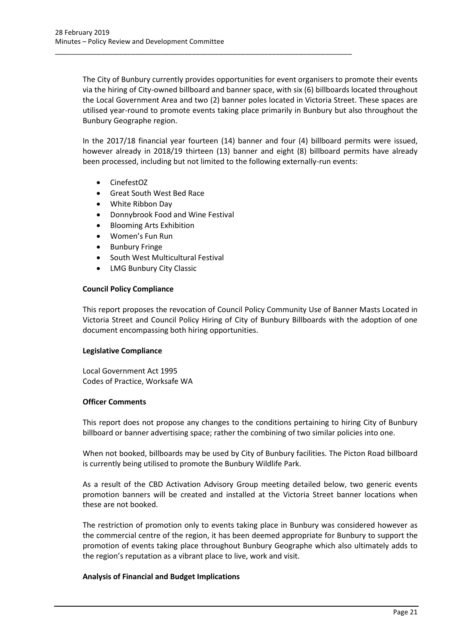The City of Bunbury currently provides opportunities for event organisers to promote their events via the hiring of City-owned billboard and banner space, with six (6) billboards located throughout the Local Government Area and two (2) banner poles located in Victoria Street. These spaces are utilised year-round to promote events taking place primarily in Bunbury but also throughout the Bunbury Geographe region.

\_\_\_\_\_\_\_\_\_\_\_\_\_\_\_\_\_\_\_\_\_\_\_\_\_\_\_\_\_\_\_\_\_\_\_\_\_\_\_\_\_\_\_\_\_\_\_\_\_\_\_\_\_\_\_\_\_\_\_\_\_\_\_\_\_\_\_\_\_\_\_\_\_\_\_\_\_\_

In the 2017/18 financial year fourteen (14) banner and four (4) billboard permits were issued, however already in 2018/19 thirteen (13) banner and eight (8) billboard permits have already been processed, including but not limited to the following externally-run events:

- CinefestOZ
- Great South West Bed Race
- White Ribbon Day
- Donnybrook Food and Wine Festival
- Blooming Arts Exhibition
- Women's Fun Run
- Bunbury Fringe
- South West Multicultural Festival
- LMG Bunbury City Classic

#### **Council Policy Compliance**

This report proposes the revocation of Council Policy Community Use of Banner Masts Located in Victoria Street and Council Policy Hiring of City of Bunbury Billboards with the adoption of one document encompassing both hiring opportunities.

#### **Legislative Compliance**

Local Government Act 1995 Codes of Practice, Worksafe WA

#### **Officer Comments**

This report does not propose any changes to the conditions pertaining to hiring City of Bunbury billboard or banner advertising space; rather the combining of two similar policies into one.

When not booked, billboards may be used by City of Bunbury facilities. The Picton Road billboard is currently being utilised to promote the Bunbury Wildlife Park.

As a result of the CBD Activation Advisory Group meeting detailed below, two generic events promotion banners will be created and installed at the Victoria Street banner locations when these are not booked.

The restriction of promotion only to events taking place in Bunbury was considered however as the commercial centre of the region, it has been deemed appropriate for Bunbury to support the promotion of events taking place throughout Bunbury Geographe which also ultimately adds to the region's reputation as a vibrant place to live, work and visit.

#### **Analysis of Financial and Budget Implications**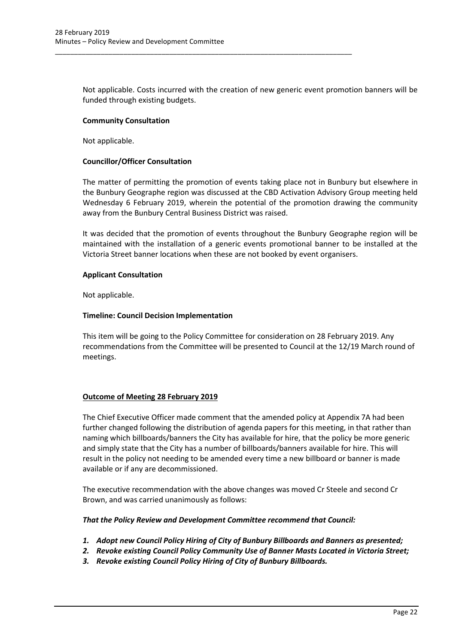Not applicable. Costs incurred with the creation of new generic event promotion banners will be funded through existing budgets.

\_\_\_\_\_\_\_\_\_\_\_\_\_\_\_\_\_\_\_\_\_\_\_\_\_\_\_\_\_\_\_\_\_\_\_\_\_\_\_\_\_\_\_\_\_\_\_\_\_\_\_\_\_\_\_\_\_\_\_\_\_\_\_\_\_\_\_\_\_\_\_\_\_\_\_\_\_\_

#### **Community Consultation**

Not applicable.

## **Councillor/Officer Consultation**

The matter of permitting the promotion of events taking place not in Bunbury but elsewhere in the Bunbury Geographe region was discussed at the CBD Activation Advisory Group meeting held Wednesday 6 February 2019, wherein the potential of the promotion drawing the community away from the Bunbury Central Business District was raised.

It was decided that the promotion of events throughout the Bunbury Geographe region will be maintained with the installation of a generic events promotional banner to be installed at the Victoria Street banner locations when these are not booked by event organisers.

## **Applicant Consultation**

Not applicable.

## **Timeline: Council Decision Implementation**

This item will be going to the Policy Committee for consideration on 28 February 2019. Any recommendations from the Committee will be presented to Council at the 12/19 March round of meetings.

## **Outcome of Meeting 28 February 2019**

The Chief Executive Officer made comment that the amended policy at Appendix 7A had been further changed following the distribution of agenda papers for this meeting, in that rather than naming which billboards/banners the City has available for hire, that the policy be more generic and simply state that the City has a number of billboards/banners available for hire. This will result in the policy not needing to be amended every time a new billboard or banner is made available or if any are decommissioned.

The executive recommendation with the above changes was moved Cr Steele and second Cr Brown, and was carried unanimously as follows:

#### *That the Policy Review and Development Committee recommend that Council:*

- *1. Adopt new Council Policy Hiring of City of Bunbury Billboards and Banners as presented;*
- *2. Revoke existing Council Policy Community Use of Banner Masts Located in Victoria Street;*
- *3. Revoke existing Council Policy Hiring of City of Bunbury Billboards.*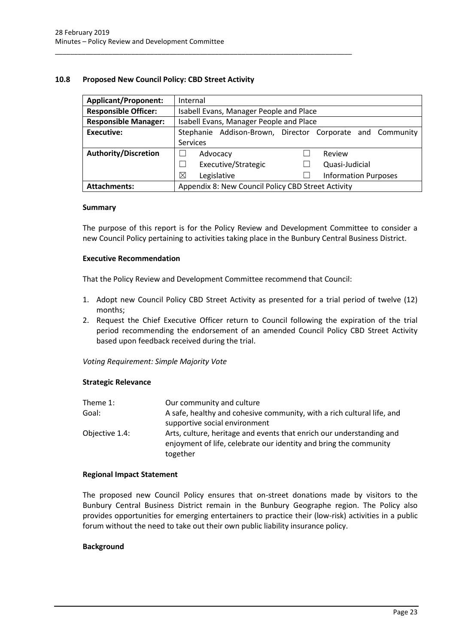## <span id="page-23-0"></span>**10.8 Proposed New Council Policy: CBD Street Activity**

\_\_\_\_\_\_\_\_\_\_\_\_\_\_\_\_\_\_\_\_\_\_\_\_\_\_\_\_\_\_\_\_\_\_\_\_\_\_\_\_\_\_\_\_\_\_\_\_\_\_\_\_\_\_\_\_\_\_\_\_\_\_\_\_\_\_\_\_\_\_\_\_\_\_\_\_\_\_

| <b>Applicant/Proponent:</b> | Internal                                                  |  |  |  |
|-----------------------------|-----------------------------------------------------------|--|--|--|
| <b>Responsible Officer:</b> | Isabell Evans, Manager People and Place                   |  |  |  |
| <b>Responsible Manager:</b> | Isabell Evans, Manager People and Place                   |  |  |  |
| Executive:                  | Stephanie Addison-Brown, Director Corporate and Community |  |  |  |
|                             | <b>Services</b>                                           |  |  |  |
| <b>Authority/Discretion</b> | Review<br>Advocacy                                        |  |  |  |
|                             | Executive/Strategic<br>Quasi-Judicial                     |  |  |  |
|                             | ⊠<br><b>Information Purposes</b><br>Legislative           |  |  |  |
| <b>Attachments:</b>         | Appendix 8: New Council Policy CBD Street Activity        |  |  |  |

#### **Summary**

The purpose of this report is for the Policy Review and Development Committee to consider a new Council Policy pertaining to activities taking place in the Bunbury Central Business District.

#### **Executive Recommendation**

That the Policy Review and Development Committee recommend that Council:

- 1. Adopt new Council Policy CBD Street Activity as presented for a trial period of twelve (12) months;
- 2. Request the Chief Executive Officer return to Council following the expiration of the trial period recommending the endorsement of an amended Council Policy CBD Street Activity based upon feedback received during the trial.

*Voting Requirement: Simple Majority Vote*

#### **Strategic Relevance**

| Theme 1:       | Our community and culture                                                                                                                             |
|----------------|-------------------------------------------------------------------------------------------------------------------------------------------------------|
| Goal:          | A safe, healthy and cohesive community, with a rich cultural life, and                                                                                |
|                | supportive social environment                                                                                                                         |
| Objective 1.4: | Arts, culture, heritage and events that enrich our understanding and<br>enjoyment of life, celebrate our identity and bring the community<br>together |

#### **Regional Impact Statement**

The proposed new Council Policy ensures that on-street donations made by visitors to the Bunbury Central Business District remain in the Bunbury Geographe region. The Policy also provides opportunities for emerging entertainers to practice their (low-risk) activities in a public forum without the need to take out their own public liability insurance policy.

#### **Background**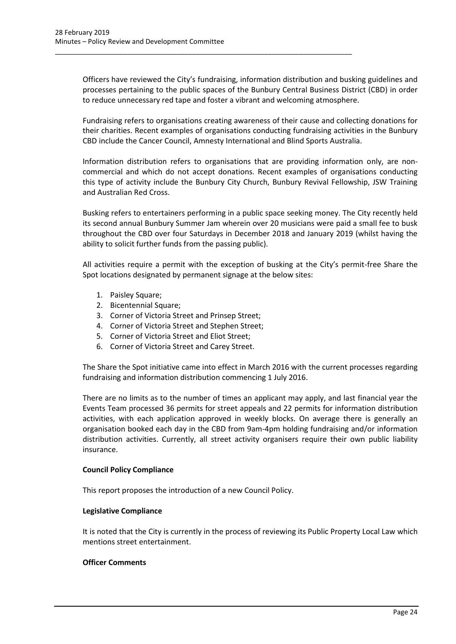Officers have reviewed the City's fundraising, information distribution and busking guidelines and processes pertaining to the public spaces of the Bunbury Central Business District (CBD) in order to reduce unnecessary red tape and foster a vibrant and welcoming atmosphere.

\_\_\_\_\_\_\_\_\_\_\_\_\_\_\_\_\_\_\_\_\_\_\_\_\_\_\_\_\_\_\_\_\_\_\_\_\_\_\_\_\_\_\_\_\_\_\_\_\_\_\_\_\_\_\_\_\_\_\_\_\_\_\_\_\_\_\_\_\_\_\_\_\_\_\_\_\_\_

Fundraising refers to organisations creating awareness of their cause and collecting donations for their charities. Recent examples of organisations conducting fundraising activities in the Bunbury CBD include the Cancer Council, Amnesty International and Blind Sports Australia.

Information distribution refers to organisations that are providing information only, are noncommercial and which do not accept donations. Recent examples of organisations conducting this type of activity include the Bunbury City Church, Bunbury Revival Fellowship, JSW Training and Australian Red Cross.

Busking refers to entertainers performing in a public space seeking money. The City recently held its second annual Bunbury Summer Jam wherein over 20 musicians were paid a small fee to busk throughout the CBD over four Saturdays in December 2018 and January 2019 (whilst having the ability to solicit further funds from the passing public).

All activities require a permit with the exception of busking at the City's permit-free Share the Spot locations designated by permanent signage at the below sites:

- 1. Paisley Square;
- 2. Bicentennial Square;
- 3. Corner of Victoria Street and Prinsep Street;
- 4. Corner of Victoria Street and Stephen Street;
- 5. Corner of Victoria Street and Eliot Street;
- 6. Corner of Victoria Street and Carey Street.

The Share the Spot initiative came into effect in March 2016 with the current processes regarding fundraising and information distribution commencing 1 July 2016.

There are no limits as to the number of times an applicant may apply, and last financial year the Events Team processed 36 permits for street appeals and 22 permits for information distribution activities, with each application approved in weekly blocks. On average there is generally an organisation booked each day in the CBD from 9am-4pm holding fundraising and/or information distribution activities. Currently, all street activity organisers require their own public liability insurance.

#### **Council Policy Compliance**

This report proposes the introduction of a new Council Policy.

#### **Legislative Compliance**

It is noted that the City is currently in the process of reviewing its Public Property Local Law which mentions street entertainment.

#### **Officer Comments**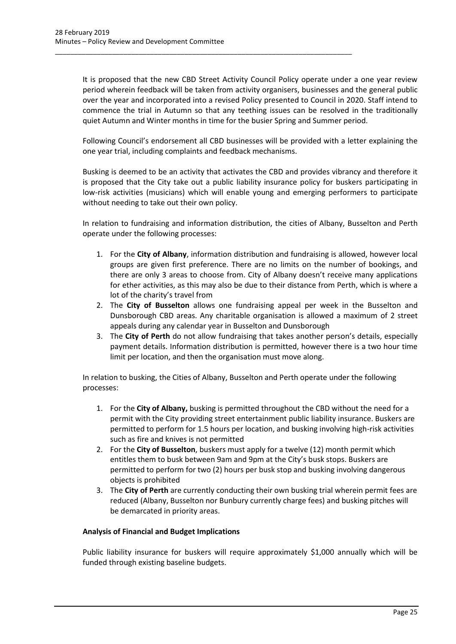It is proposed that the new CBD Street Activity Council Policy operate under a one year review period wherein feedback will be taken from activity organisers, businesses and the general public over the year and incorporated into a revised Policy presented to Council in 2020. Staff intend to commence the trial in Autumn so that any teething issues can be resolved in the traditionally quiet Autumn and Winter months in time for the busier Spring and Summer period.

\_\_\_\_\_\_\_\_\_\_\_\_\_\_\_\_\_\_\_\_\_\_\_\_\_\_\_\_\_\_\_\_\_\_\_\_\_\_\_\_\_\_\_\_\_\_\_\_\_\_\_\_\_\_\_\_\_\_\_\_\_\_\_\_\_\_\_\_\_\_\_\_\_\_\_\_\_\_

Following Council's endorsement all CBD businesses will be provided with a letter explaining the one year trial, including complaints and feedback mechanisms.

Busking is deemed to be an activity that activates the CBD and provides vibrancy and therefore it is proposed that the City take out a public liability insurance policy for buskers participating in low-risk activities (musicians) which will enable young and emerging performers to participate without needing to take out their own policy.

In relation to fundraising and information distribution, the cities of Albany, Busselton and Perth operate under the following processes:

- 1. For the **City of Albany**, information distribution and fundraising is allowed, however local groups are given first preference. There are no limits on the number of bookings, and there are only 3 areas to choose from. City of Albany doesn't receive many applications for ether activities, as this may also be due to their distance from Perth, which is where a lot of the charity's travel from
- 2. The **City of Busselton** allows one fundraising appeal per week in the Busselton and Dunsborough CBD areas. Any charitable organisation is allowed a maximum of 2 street appeals during any calendar year in Busselton and Dunsborough
- 3. The **City of Perth** do not allow fundraising that takes another person's details, especially payment details. Information distribution is permitted, however there is a two hour time limit per location, and then the organisation must move along.

In relation to busking, the Cities of Albany, Busselton and Perth operate under the following processes:

- 1. For the **City of Albany,** busking is permitted throughout the CBD without the need for a permit with the City providing street entertainment public liability insurance. Buskers are permitted to perform for 1.5 hours per location, and busking involving high-risk activities such as fire and knives is not permitted
- 2. For the **City of Busselton**, buskers must apply for a twelve (12) month permit which entitles them to busk between 9am and 9pm at the City's busk stops. Buskers are permitted to perform for two (2) hours per busk stop and busking involving dangerous objects is prohibited
- 3. The **City of Perth** are currently conducting their own busking trial wherein permit fees are reduced (Albany, Busselton nor Bunbury currently charge fees) and busking pitches will be demarcated in priority areas.

## **Analysis of Financial and Budget Implications**

Public liability insurance for buskers will require approximately \$1,000 annually which will be funded through existing baseline budgets.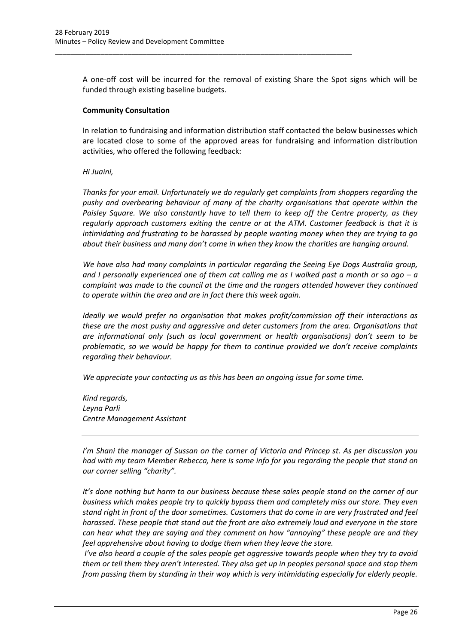A one-off cost will be incurred for the removal of existing Share the Spot signs which will be funded through existing baseline budgets.

\_\_\_\_\_\_\_\_\_\_\_\_\_\_\_\_\_\_\_\_\_\_\_\_\_\_\_\_\_\_\_\_\_\_\_\_\_\_\_\_\_\_\_\_\_\_\_\_\_\_\_\_\_\_\_\_\_\_\_\_\_\_\_\_\_\_\_\_\_\_\_\_\_\_\_\_\_\_

#### **Community Consultation**

In relation to fundraising and information distribution staff contacted the below businesses which are located close to some of the approved areas for fundraising and information distribution activities, who offered the following feedback:

## *Hi Juaini,*

*Thanks for your email. Unfortunately we do regularly get complaints from shoppers regarding the pushy and overbearing behaviour of many of the charity organisations that operate within the Paisley Square. We also constantly have to tell them to keep off the Centre property, as they regularly approach customers exiting the centre or at the ATM. Customer feedback is that it is intimidating and frustrating to be harassed by people wanting money when they are trying to go about their business and many don't come in when they know the charities are hanging around.*

*We have also had many complaints in particular regarding the Seeing Eye Dogs Australia group, and I personally experienced one of them cat calling me as I walked past a month or so ago – a complaint was made to the council at the time and the rangers attended however they continued to operate within the area and are in fact there this week again.*

*Ideally we would prefer no organisation that makes profit/commission off their interactions as these are the most pushy and aggressive and deter customers from the area. Organisations that are informational only (such as local government or health organisations) don't seem to be problematic, so we would be happy for them to continue provided we don't receive complaints regarding their behaviour.*

*We appreciate your contacting us as this has been an ongoing issue for some time.*

*Kind regards, Leyna Parli Centre Management Assistant*

*I'm Shani the manager of Sussan on the corner of Victoria and Princep st. As per discussion you had with my team Member Rebecca, here is some info for you regarding the people that stand on our corner selling "charity".*

*It's done nothing but harm to our business because these sales people stand on the corner of our business which makes people try to quickly bypass them and completely miss our store. They even stand right in front of the door sometimes. Customers that do come in are very frustrated and feel harassed. These people that stand out the front are also extremely loud and everyone in the store can hear what they are saying and they comment on how "annoying" these people are and they feel apprehensive about having to dodge them when they leave the store.*

*I've also heard a couple of the sales people get aggressive towards people when they try to avoid them or tell them they aren't interested. They also get up in peoples personal space and stop them from passing them by standing in their way which is very intimidating especially for elderly people.*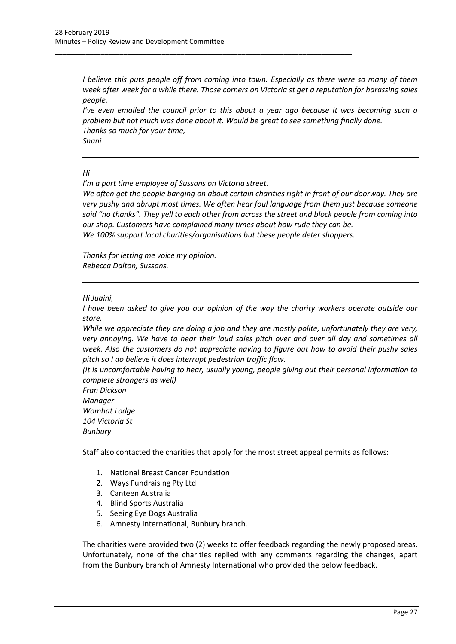*I believe this puts people off from coming into town. Especially as there were so many of them week after week for a while there. Those corners on Victoria st get a reputation for harassing sales people.* 

*I've even emailed the council prior to this about a year ago because it was becoming such a problem but not much was done about it. Would be great to see something finally done. Thanks so much for your time, Shani*

#### *Hi*

*I'm a part time employee of Sussans on Victoria street.* 

\_\_\_\_\_\_\_\_\_\_\_\_\_\_\_\_\_\_\_\_\_\_\_\_\_\_\_\_\_\_\_\_\_\_\_\_\_\_\_\_\_\_\_\_\_\_\_\_\_\_\_\_\_\_\_\_\_\_\_\_\_\_\_\_\_\_\_\_\_\_\_\_\_\_\_\_\_\_

*We often get the people banging on about certain charities right in front of our doorway. They are very pushy and abrupt most times. We often hear foul language from them just because someone said "no thanks". They yell to each other from across the street and block people from coming into our shop. Customers have complained many times about how rude they can be. We 100% support local charities/organisations but these people deter shoppers.* 

*Thanks for letting me voice my opinion. Rebecca Dalton, Sussans.* 

## *Hi Juaini,*

*I have been asked to give you our opinion of the way the charity workers operate outside our store.*

*While we appreciate they are doing a job and they are mostly polite, unfortunately they are very, very annoying. We have to hear their loud sales pitch over and over all day and sometimes all week. Also the customers do not appreciate having to figure out how to avoid their pushy sales pitch so I do believe it does interrupt pedestrian traffic flow.* 

*(It is uncomfortable having to hear, usually young, people giving out their personal information to complete strangers as well)*

*Fran Dickson Manager Wombat Lodge 104 Victoria St Bunbury*

Staff also contacted the charities that apply for the most street appeal permits as follows:

- 1. National Breast Cancer Foundation
- 2. Ways Fundraising Pty Ltd
- 3. Canteen Australia
- 4. Blind Sports Australia
- 5. Seeing Eye Dogs Australia
- 6. Amnesty International, Bunbury branch.

The charities were provided two (2) weeks to offer feedback regarding the newly proposed areas. Unfortunately, none of the charities replied with any comments regarding the changes, apart from the Bunbury branch of Amnesty International who provided the below feedback.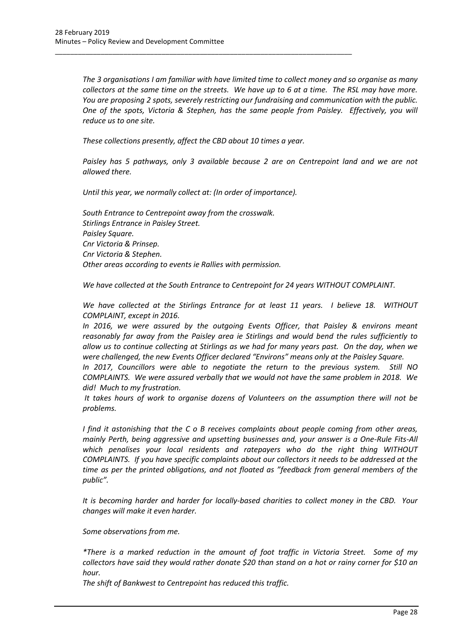*The 3 organisations I am familiar with have limited time to collect money and so organise as many collectors at the same time on the streets. We have up to 6 at a time. The RSL may have more. You are proposing 2 spots, severely restricting our fundraising and communication with the public. One of the spots, Victoria & Stephen, has the same people from Paisley. Effectively, you will reduce us to one site.*

*These collections presently, affect the CBD about 10 times a year.*

\_\_\_\_\_\_\_\_\_\_\_\_\_\_\_\_\_\_\_\_\_\_\_\_\_\_\_\_\_\_\_\_\_\_\_\_\_\_\_\_\_\_\_\_\_\_\_\_\_\_\_\_\_\_\_\_\_\_\_\_\_\_\_\_\_\_\_\_\_\_\_\_\_\_\_\_\_\_

*Paisley has 5 pathways, only 3 available because 2 are on Centrepoint land and we are not allowed there.*

*Until this year, we normally collect at: (In order of importance).*

*South Entrance to Centrepoint away from the crosswalk. Stirlings Entrance in Paisley Street. Paisley Square. Cnr Victoria & Prinsep. Cnr Victoria & Stephen. Other areas according to events ie Rallies with permission.*

*We have collected at the South Entrance to Centrepoint for 24 years WITHOUT COMPLAINT.*

*We have collected at the Stirlings Entrance for at least 11 years. I believe 18. WITHOUT COMPLAINT, except in 2016.*

*In 2016, we were assured by the outgoing Events Officer, that Paisley & environs meant reasonably far away from the Paisley area ie Stirlings and would bend the rules sufficiently to allow us to continue collecting at Stirlings as we had for many years past. On the day, when we were challenged, the new Events Officer declared "Environs" means only at the Paisley Square.*

*In 2017, Councillors were able to negotiate the return to the previous system. Still NO COMPLAINTS. We were assured verbally that we would not have the same problem in 2018. We did! Much to my frustration.*

*It takes hours of work to organise dozens of Volunteers on the assumption there will not be problems.*

*I find it astonishing that the C o B receives complaints about people coming from other areas, mainly Perth, being aggressive and upsetting businesses and, your answer is a One-Rule Fits-All which penalises your local residents and ratepayers who do the right thing WITHOUT COMPLAINTS. If you have specific complaints about our collectors it needs to be addressed at the time as per the printed obligations, and not floated as "feedback from general members of the public".*

*It is becoming harder and harder for locally-based charities to collect money in the CBD. Your changes will make it even harder.*

*Some observations from me.*

*\*There is a marked reduction in the amount of foot traffic in Victoria Street. Some of my collectors have said they would rather donate \$20 than stand on a hot or rainy corner for \$10 an hour.*

*The shift of Bankwest to Centrepoint has reduced this traffic.*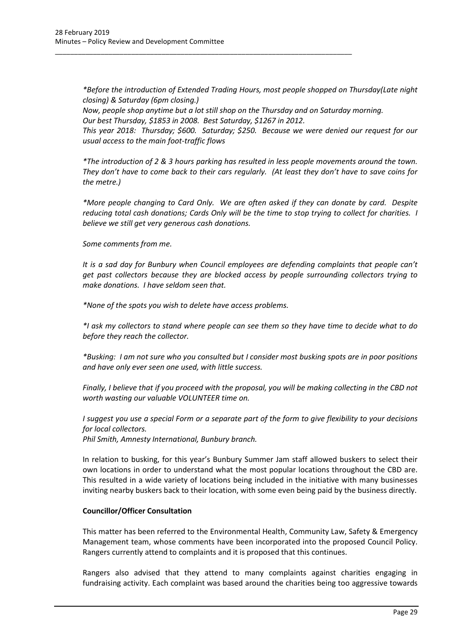*\*Before the introduction of Extended Trading Hours, most people shopped on Thursday(Late night closing) & Saturday (6pm closing.) Now, people shop anytime but a lot still shop on the Thursday and on Saturday morning.*

*Our best Thursday, \$1853 in 2008. Best Saturday, \$1267 in 2012.*

\_\_\_\_\_\_\_\_\_\_\_\_\_\_\_\_\_\_\_\_\_\_\_\_\_\_\_\_\_\_\_\_\_\_\_\_\_\_\_\_\_\_\_\_\_\_\_\_\_\_\_\_\_\_\_\_\_\_\_\_\_\_\_\_\_\_\_\_\_\_\_\_\_\_\_\_\_\_

*This year 2018: Thursday; \$600. Saturday; \$250. Because we were denied our request for our usual access to the main foot-traffic flows*

*\*The introduction of 2 & 3 hours parking has resulted in less people movements around the town. They don't have to come back to their cars regularly. (At least they don't have to save coins for the metre.)*

*\*More people changing to Card Only. We are often asked if they can donate by card. Despite reducing total cash donations; Cards Only will be the time to stop trying to collect for charities. I believe we still get very generous cash donations.*

*Some comments from me.*

*It is a sad day for Bunbury when Council employees are defending complaints that people can't get past collectors because they are blocked access by people surrounding collectors trying to make donations. I have seldom seen that.*

*\*None of the spots you wish to delete have access problems.*

*\*I ask my collectors to stand where people can see them so they have time to decide what to do before they reach the collector.*

*\*Busking: I am not sure who you consulted but I consider most busking spots are in poor positions and have only ever seen one used, with little success.*

*Finally, I believe that if you proceed with the proposal, you will be making collecting in the CBD not worth wasting our valuable VOLUNTEER time on.*

*I suggest you use a special Form or a separate part of the form to give flexibility to your decisions for local collectors.*

*Phil Smith, Amnesty International, Bunbury branch.* 

In relation to busking, for this year's Bunbury Summer Jam staff allowed buskers to select their own locations in order to understand what the most popular locations throughout the CBD are. This resulted in a wide variety of locations being included in the initiative with many businesses inviting nearby buskers back to their location, with some even being paid by the business directly.

## **Councillor/Officer Consultation**

This matter has been referred to the Environmental Health, Community Law, Safety & Emergency Management team, whose comments have been incorporated into the proposed Council Policy. Rangers currently attend to complaints and it is proposed that this continues.

Rangers also advised that they attend to many complaints against charities engaging in fundraising activity. Each complaint was based around the charities being too aggressive towards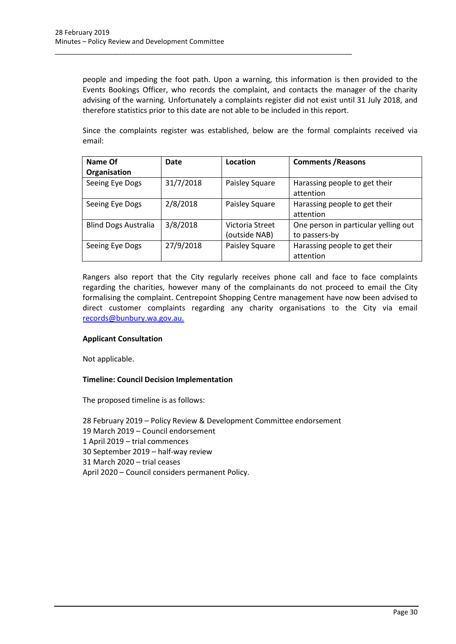people and impeding the foot path. Upon a warning, this information is then provided to the Events Bookings Officer, who records the complaint, and contacts the manager of the charity advising of the warning. Unfortunately a complaints register did not exist until 31 July 2018, and therefore statistics prior to this date are not able to be included in this report.

\_\_\_\_\_\_\_\_\_\_\_\_\_\_\_\_\_\_\_\_\_\_\_\_\_\_\_\_\_\_\_\_\_\_\_\_\_\_\_\_\_\_\_\_\_\_\_\_\_\_\_\_\_\_\_\_\_\_\_\_\_\_\_\_\_\_\_\_\_\_\_\_\_\_\_\_\_\_

Since the complaints register was established, below are the formal complaints received via email:

| Name Of                     | Date      | Location        | <b>Comments / Reasons</b>                  |
|-----------------------------|-----------|-----------------|--------------------------------------------|
| Organisation                |           |                 |                                            |
| Seeing Eye Dogs             | 31/7/2018 | Paisley Square  | Harassing people to get their<br>attention |
|                             |           |                 |                                            |
| Seeing Eye Dogs             | 2/8/2018  | Paisley Square  | Harassing people to get their              |
|                             |           |                 | attention                                  |
| <b>Blind Dogs Australia</b> | 3/8/2018  | Victoria Street | One person in particular yelling out       |
|                             |           | (outside NAB)   | to passers-by                              |
| Seeing Eye Dogs             | 27/9/2018 | Paisley Square  | Harassing people to get their              |
|                             |           |                 | attention                                  |

Rangers also report that the City regularly receives phone call and face to face complaints regarding the charities, however many of the complainants do not proceed to email the City formalising the complaint. Centrepoint Shopping Centre management have now been advised to direct customer complaints regarding any charity organisations to the City via email [records@bunbury.wa.gov.au.](mailto:records@bunbury.wa.gov.au)

#### **Applicant Consultation**

Not applicable.

#### **Timeline: Council Decision Implementation**

The proposed timeline is as follows:

28 February 2019 – Policy Review & Development Committee endorsement 19 March 2019 – Council endorsement 1 April 2019 – trial commences 30 September 2019 – half-way review 31 March 2020 – trial ceases April 2020 – Council considers permanent Policy.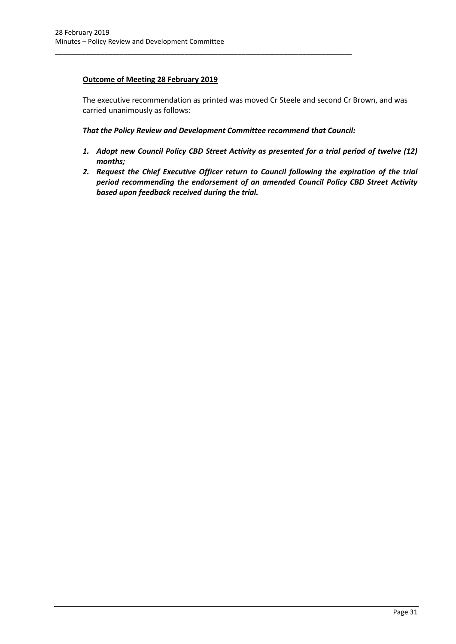# **Outcome of Meeting 28 February 2019**

The executive recommendation as printed was moved Cr Steele and second Cr Brown, and was carried unanimously as follows:

*That the Policy Review and Development Committee recommend that Council:*

\_\_\_\_\_\_\_\_\_\_\_\_\_\_\_\_\_\_\_\_\_\_\_\_\_\_\_\_\_\_\_\_\_\_\_\_\_\_\_\_\_\_\_\_\_\_\_\_\_\_\_\_\_\_\_\_\_\_\_\_\_\_\_\_\_\_\_\_\_\_\_\_\_\_\_\_\_\_

- *1. Adopt new Council Policy CBD Street Activity as presented for a trial period of twelve (12) months;*
- *2. Request the Chief Executive Officer return to Council following the expiration of the trial period recommending the endorsement of an amended Council Policy CBD Street Activity based upon feedback received during the trial.*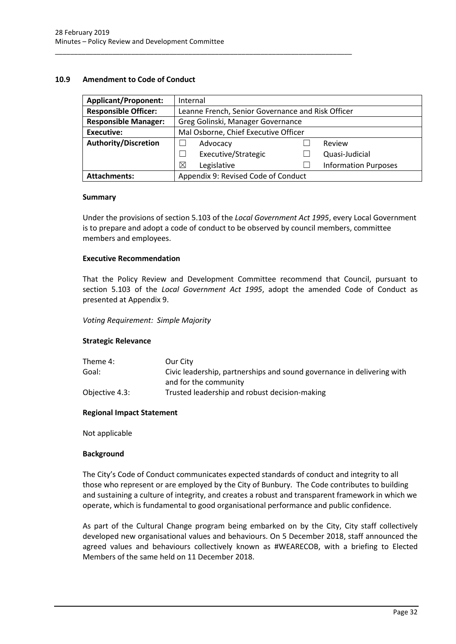## <span id="page-32-0"></span>**10.9 Amendment to Code of Conduct**

| <b>Applicant/Proponent:</b> | Internal                                          |  |                             |  |
|-----------------------------|---------------------------------------------------|--|-----------------------------|--|
| <b>Responsible Officer:</b> | Leanne French, Senior Governance and Risk Officer |  |                             |  |
| <b>Responsible Manager:</b> | Greg Golinski, Manager Governance                 |  |                             |  |
| <b>Executive:</b>           | Mal Osborne, Chief Executive Officer              |  |                             |  |
| <b>Authority/Discretion</b> | Advocacy<br>Review                                |  |                             |  |
|                             | Executive/Strategic                               |  | Quasi-Judicial              |  |
|                             | $\boxtimes$<br>Legislative                        |  | <b>Information Purposes</b> |  |
| <b>Attachments:</b>         | Appendix 9: Revised Code of Conduct               |  |                             |  |

\_\_\_\_\_\_\_\_\_\_\_\_\_\_\_\_\_\_\_\_\_\_\_\_\_\_\_\_\_\_\_\_\_\_\_\_\_\_\_\_\_\_\_\_\_\_\_\_\_\_\_\_\_\_\_\_\_\_\_\_\_\_\_\_\_\_\_\_\_\_\_\_\_\_\_\_\_\_

#### **Summary**

Under the provisions of section 5.103 of the *Local Government Act 1995*, every Local Government is to prepare and adopt a code of conduct to be observed by council members, committee members and employees.

#### **Executive Recommendation**

That the Policy Review and Development Committee recommend that Council, pursuant to section 5.103 of the *Local Government Act 1995*, adopt the amended Code of Conduct as presented at Appendix 9.

*Voting Requirement: Simple Majority* 

#### **Strategic Relevance**

| Theme 4:       | Our City                                                               |
|----------------|------------------------------------------------------------------------|
| Goal:          | Civic leadership, partnerships and sound governance in delivering with |
|                | and for the community                                                  |
| Objective 4.3: | Trusted leadership and robust decision-making                          |

#### **Regional Impact Statement**

Not applicable

#### **Background**

The City's Code of Conduct communicates expected standards of conduct and integrity to all those who represent or are employed by the City of Bunbury. The Code contributes to building and sustaining a culture of integrity, and creates a robust and transparent framework in which we operate, which is fundamental to good organisational performance and public confidence.

As part of the Cultural Change program being embarked on by the City, City staff collectively developed new organisational values and behaviours. On 5 December 2018, staff announced the agreed values and behaviours collectively known as #WEARECOB, with a briefing to Elected Members of the same held on 11 December 2018.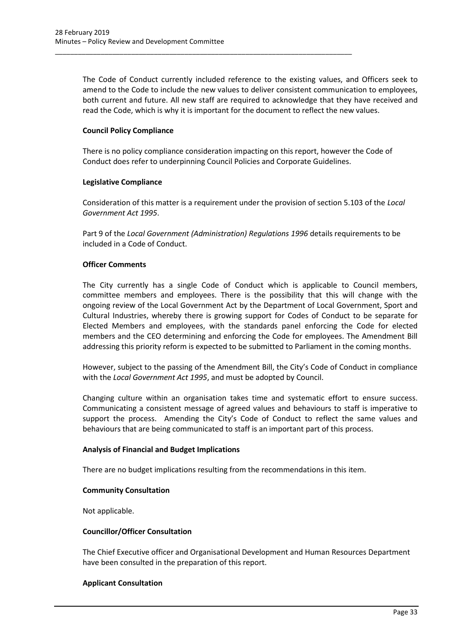The Code of Conduct currently included reference to the existing values, and Officers seek to amend to the Code to include the new values to deliver consistent communication to employees, both current and future. All new staff are required to acknowledge that they have received and read the Code, which is why it is important for the document to reflect the new values.

## **Council Policy Compliance**

There is no policy compliance consideration impacting on this report, however the Code of Conduct does refer to underpinning Council Policies and Corporate Guidelines.

\_\_\_\_\_\_\_\_\_\_\_\_\_\_\_\_\_\_\_\_\_\_\_\_\_\_\_\_\_\_\_\_\_\_\_\_\_\_\_\_\_\_\_\_\_\_\_\_\_\_\_\_\_\_\_\_\_\_\_\_\_\_\_\_\_\_\_\_\_\_\_\_\_\_\_\_\_\_

#### **Legislative Compliance**

Consideration of this matter is a requirement under the provision of section 5.103 of the *Local Government Act 1995*.

Part 9 of the *Local Government (Administration) Regulations 1996* details requirements to be included in a Code of Conduct.

## **Officer Comments**

The City currently has a single Code of Conduct which is applicable to Council members, committee members and employees. There is the possibility that this will change with the ongoing review of the Local Government Act by the Department of Local Government, Sport and Cultural Industries, whereby there is growing support for Codes of Conduct to be separate for Elected Members and employees, with the standards panel enforcing the Code for elected members and the CEO determining and enforcing the Code for employees. The Amendment Bill addressing this priority reform is expected to be submitted to Parliament in the coming months.

However, subject to the passing of the Amendment Bill, the City's Code of Conduct in compliance with the *Local Government Act 1995*, and must be adopted by Council.

Changing culture within an organisation takes time and systematic effort to ensure success. Communicating a consistent message of agreed values and behaviours to staff is imperative to support the process. Amending the City's Code of Conduct to reflect the same values and behaviours that are being communicated to staff is an important part of this process.

#### **Analysis of Financial and Budget Implications**

There are no budget implications resulting from the recommendations in this item.

#### **Community Consultation**

Not applicable.

#### **Councillor/Officer Consultation**

The Chief Executive officer and Organisational Development and Human Resources Department have been consulted in the preparation of this report.

## **Applicant Consultation**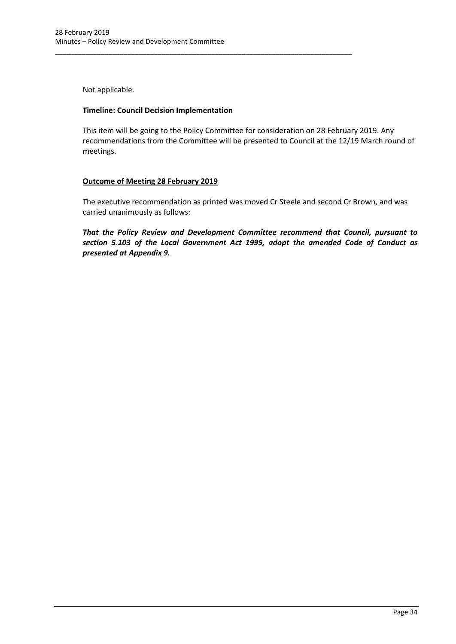Not applicable.

#### **Timeline: Council Decision Implementation**

\_\_\_\_\_\_\_\_\_\_\_\_\_\_\_\_\_\_\_\_\_\_\_\_\_\_\_\_\_\_\_\_\_\_\_\_\_\_\_\_\_\_\_\_\_\_\_\_\_\_\_\_\_\_\_\_\_\_\_\_\_\_\_\_\_\_\_\_\_\_\_\_\_\_\_\_\_\_

This item will be going to the Policy Committee for consideration on 28 February 2019. Any recommendations from the Committee will be presented to Council at the 12/19 March round of meetings.

## **Outcome of Meeting 28 February 2019**

The executive recommendation as printed was moved Cr Steele and second Cr Brown, and was carried unanimously as follows:

*That the Policy Review and Development Committee recommend that Council, pursuant to section 5.103 of the Local Government Act 1995, adopt the amended Code of Conduct as presented at Appendix 9.*